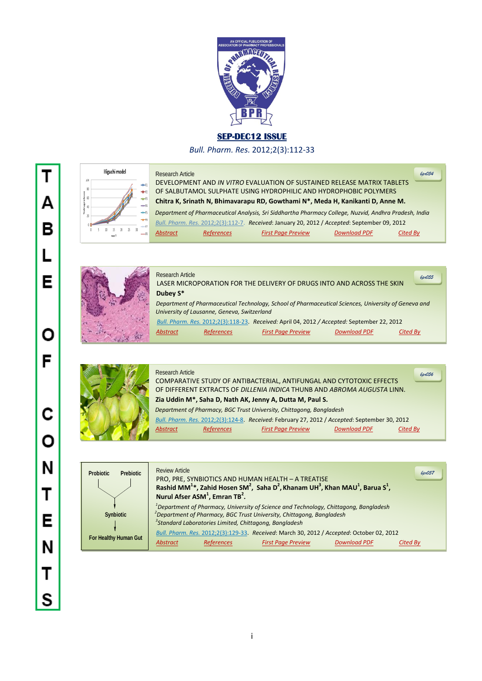

**SEP-DEC12 ISSUE** 

*Bull. Pharm. Res.* 2012;2(3):112-33

|              |     |   |   |    | Higuchi model |    |    |    |
|--------------|-----|---|---|----|---------------|----|----|----|
|              | 100 |   |   |    |               |    |    |    |
|              | 80  |   |   |    |               |    |    |    |
|              | 60  |   |   |    |               |    |    |    |
| %drugrelease | 40  |   |   |    |               |    |    |    |
|              | 20  |   |   |    |               |    |    |    |
|              | 0   |   |   |    |               |    |    |    |
|              |     | Ô | 5 | 10 | 15            | 20 | 25 | 30 |

Research Article DEVELOPMENT AND *IN VITRO* EVALUATION OF SUSTAINED RELEASE MATRIX TABLETS OF SALBUTAMOL SULPHATE USING HYDROPHILIC AND HYDROPHOBIC POLYMERS  **Chitra K, Srinath N, Bhimavarapu RD, Gowthami N\*, Meda H, Kanikanti D, Anne M.**  *Department of Pharmaceutical Analysis, Sri Siddhartha Pharmacy College, Nuzvid, Andhra Pradesh, India Bull. Pharm. Res.* 2012;2(3):112-7. *Received*: January 20, 2012 / *Accepted*: September 09, 2012 *Abstract References First Page Preview Download PDF Cited By bpr054*



Research Article LASER MICROPORATION FOR THE DELIVERY OF DRUGS INTO AND ACROSS THE SKIN  **Dubey S\***  *Department of Pharmaceutical Technology, School of Pharmaceutical Sciences, University of Geneva and University of Lausanne, Geneva, Switzerland Bull. Pharm. Res.* 2012;2(3):118-23. *Received:* April 04, 2012 */ Accepted:* September 22, 2012 *bpr055*

*Abstract References First Page Preview Download PDF Cited By*



| <b>Research Article</b> |                   | COMPARATIVE STUDY OF ANTIBACTERIAL, ANTIFUNGAL AND CYTOTOXIC EFFECTS<br>OF DIFFERENT EXTRACTS OF DILLENIA INDICA THUNB AND ABROMA AUGUSTA LINN.<br>Zia Uddin M*, Saha D, Nath AK, Jenny A, Dutta M, Paul S. |                     | 6pr056          |
|-------------------------|-------------------|-------------------------------------------------------------------------------------------------------------------------------------------------------------------------------------------------------------|---------------------|-----------------|
|                         |                   | Department of Pharmacy, BGC Trust University, Chittagong, Bangladesh                                                                                                                                        |                     |                 |
|                         |                   | Bull. Pharm. Res. 2012;2(3):124-8. Received: February 27, 2012 / Accepted: September 30, 2012                                                                                                               |                     |                 |
| <b>Abstract</b>         | <b>References</b> | <b>First Page Preview</b>                                                                                                                                                                                   | <b>Download PDF</b> | <b>Cited Bv</b> |

| <b>Prebiotic</b><br><b>Probiotic</b> | <b>Review Article</b><br>6pr057<br>PRO, PRE, SYNBIOTICS AND HUMAN HEALTH - A TREATISE<br>Rashid MM <sup>1</sup> *, Zahid Hosen SM <sup>2</sup> , Saha D <sup>2</sup> , Khanam UH <sup>3</sup> , Khan MAU <sup>1</sup> , Barua S <sup>1</sup> ,<br>Nurul Afser ASM <sup>1</sup> , Emran TB <sup>2</sup> . |
|--------------------------------------|----------------------------------------------------------------------------------------------------------------------------------------------------------------------------------------------------------------------------------------------------------------------------------------------------------|
| <b>Synbiotic</b>                     | <sup>1</sup> Department of Pharmacy, University of Science and Technology, Chittagong, Bangladesh<br><sup>2</sup> Department of Pharmacy, BGC Trust University, Chittagong, Bangladesh<br><sup>3</sup> Standard Laboratories Limited, Chittagong, Bangladesh                                             |
| For Healthy Human Gut                | Bull. Pharm. Res. 2012;2(3):129-33. Received: March 30, 2012 / Accepted: October 02, 2012<br><b>Download PDF</b><br><b>First Page Preview</b><br><b>Abstract</b><br><b>References</b><br>Cited By                                                                                                        |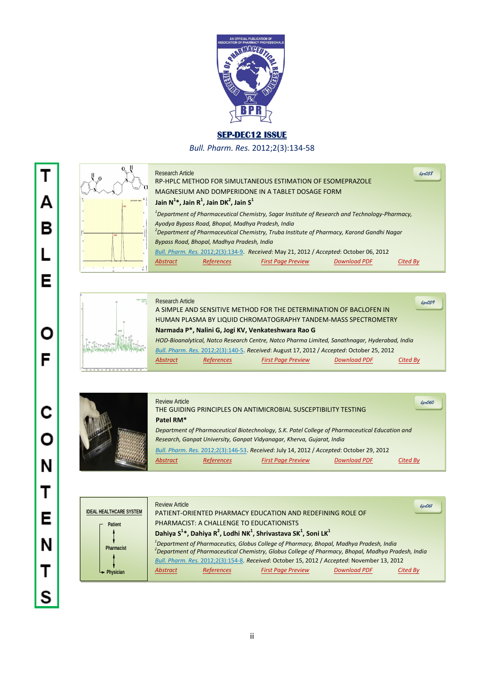

## **SEP-DEC12 ISSUE**

*Bull. Pharm. Res.* 2012;2(3):134-58

|                  | Research Article<br><i>bpr058</i><br>RP-HPLC METHOD FOR SIMULTANEOUS ESTIMATION OF ESOMEPRAZOLE<br>MAGNESIUM AND DOMPERIDONE IN A TABLET DOSAGE FORM |  |  |  |  |
|------------------|------------------------------------------------------------------------------------------------------------------------------------------------------|--|--|--|--|
| $-100000$ , here | Jain N <sup>1</sup> *, Jain R <sup>1</sup> , Jain DK <sup>2</sup> , Jain S <sup>1</sup>                                                              |  |  |  |  |
|                  | <sup>1</sup> Department of Pharmaceutical Chemistry, Sagar Institute of Research and Technology-Pharmacy,                                            |  |  |  |  |
|                  | Ayodya Bypass Road, Bhopal, Madhya Pradesh, India                                                                                                    |  |  |  |  |
|                  | $\alpha$ <sup>2</sup> Department of Pharmaceutical Chemistry, Truba Institute of Pharmacy, Karond Gandhi Nagar                                       |  |  |  |  |
|                  | Bypass Road, Bhopal, Madhya Pradesh, India                                                                                                           |  |  |  |  |
|                  | Bull. Pharm. Res. 2012;2(3):134-9. Received: May 21, 2012 / Accepted: October 06, 2012                                                               |  |  |  |  |
|                  | <b>Download PDF</b><br><b>References</b><br><b>First Page Preview</b><br><b>Abstract</b><br>Cited Bv                                                 |  |  |  |  |



| TUV                  | <b>Research Article</b>                                        |                   | A SIMPLE AND SENSITIVE METHOD FOR THE DETERMINATION OF BACLOFEN IN                            |                     | 6pr059   |  |  |
|----------------------|----------------------------------------------------------------|-------------------|-----------------------------------------------------------------------------------------------|---------------------|----------|--|--|
|                      | HUMAN PLASMA BY LIQUID CHROMATOGRAPHY TANDEM-MASS SPECTROMETRY |                   |                                                                                               |                     |          |  |  |
|                      |                                                                |                   | Narmada P*, Nalini G, Jogi KV, Venkateshwara Rao G                                            |                     |          |  |  |
|                      |                                                                |                   | HOD-Bioanalytical, Natco Research Centre, Natco Pharma Limited, Sanathnagar, Hyderabad, India |                     |          |  |  |
|                      |                                                                |                   | Bull. Pharm. Res. 2012;2(3):140-5. Received: August 17, 2012 / Accepted: October 25, 2012     |                     |          |  |  |
|                      | <b>Abstract</b>                                                | <b>References</b> | <b>First Page Preview</b>                                                                     | <b>Download PDF</b> | Cited By |  |  |
| THE REAL PROPERTY OF |                                                                |                   |                                                                                               |                     |          |  |  |



| <b>Review Article</b>                                                                          |                   | THE GUIDING PRINCIPLES ON ANTIMICROBIAL SUSCEPTIBILITY TESTING                           |                     | 6px060   |  |
|------------------------------------------------------------------------------------------------|-------------------|------------------------------------------------------------------------------------------|---------------------|----------|--|
| Patel RM*                                                                                      |                   |                                                                                          |                     |          |  |
| Department of Pharmaceutical Biotechnology, S.K. Patel College of Pharmaceutical Education and |                   |                                                                                          |                     |          |  |
|                                                                                                |                   | Research, Ganpat University, Ganpat Vidyanagar, Kherva, Gujarat, India                   |                     |          |  |
|                                                                                                |                   | Bull. Pharm. Res. 2012;2(3):146-53. Received: July 14, 2012 / Accepted: October 29, 2012 |                     |          |  |
| <b>Abstract</b>                                                                                | <b>References</b> | <b>First Page Preview</b>                                                                | <b>Download PDF</b> | Cited By |  |
|                                                                                                |                   |                                                                                          |                     |          |  |

| <b>IDEAL HEALTHCARE SYSTEM</b><br><b>Patient</b><br>Pharmacist |           | Review Article                                                                                                                                                                                                                                                                           | PHARMACIST: A CHALLENGE TO EDUCATIONISTS | PATIENT-ORIENTED PHARMACY EDUCATION AND REDEFINING ROLE OF<br>Dahiya $S^{1*}$ , Dahiya R <sup>2</sup> , Lodhi NK <sup>1</sup> , Shrivastava SK <sup>1</sup> , Soni LK <sup>1</sup><br><sup>1</sup> Department of Pharmaceutics, Globus College of Pharmacy, Bhopal, Madhya Pradesh, India |  | 6pr061 |
|----------------------------------------------------------------|-----------|------------------------------------------------------------------------------------------------------------------------------------------------------------------------------------------------------------------------------------------------------------------------------------------|------------------------------------------|-------------------------------------------------------------------------------------------------------------------------------------------------------------------------------------------------------------------------------------------------------------------------------------------|--|--------|
|                                                                |           | <sup>2</sup> Department of Pharmaceutical Chemistry, Globus College of Pharmacy, Bhopal, Madhya Pradesh, India<br>Bull. Pharm. Res. 2012;2(3):154-8. Received: October 15, 2012 / Accepted: November 13, 2012<br><b>References</b><br><b>Download PDF</b><br>Cited Bv<br><b>Abstract</b> |                                          |                                                                                                                                                                                                                                                                                           |  |        |
|                                                                | Physician |                                                                                                                                                                                                                                                                                          |                                          | <b>First Page Preview</b>                                                                                                                                                                                                                                                                 |  |        |